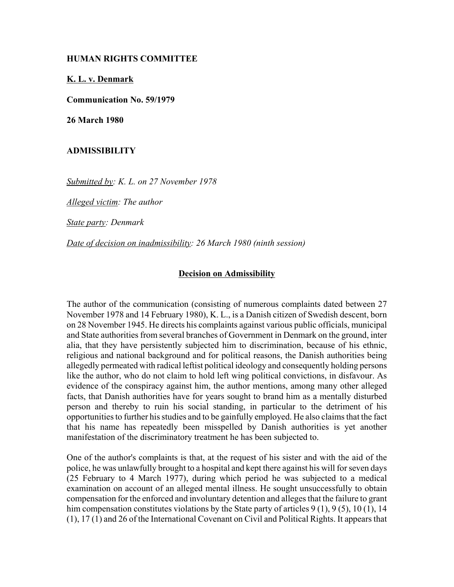## **HUMAN RIGHTS COMMITTEE**

**K. L. v. Denmark**

**Communication No. 59/1979**

**26 March 1980**

## **ADMISSIBILITY**

*Submitted by: K. L. on 27 November 1978* 

*Alleged victim: The author* 

*State party: Denmark* 

*Date of decision on inadmissibility: 26 March 1980 (ninth session)* 

## **Decision on Admissibility**

The author of the communication (consisting of numerous complaints dated between 27 November 1978 and 14 February 1980), K. L., is a Danish citizen of Swedish descent, born on 28 November 1945. He directs his complaints against various public officials, municipal and State authorities from several branches of Government in Denmark on the ground, inter alia, that they have persistently subjected him to discrimination, because of his ethnic, religious and national background and for political reasons, the Danish authorities being allegedly permeated with radical leftist political ideology and consequently holding persons like the author, who do not claim to hold left wing political convictions, in disfavour. As evidence of the conspiracy against him, the author mentions, among many other alleged facts, that Danish authorities have for years sought to brand him as a mentally disturbed person and thereby to ruin his social standing, in particular to the detriment of his opportunities to further his studies and to be gainfully employed. He also claims that the fact that his name has repeatedly been misspelled by Danish authorities is yet another manifestation of the discriminatory treatment he has been subjected to.

One of the author's complaints is that, at the request of his sister and with the aid of the police, he was unlawfully brought to a hospital and kept there against his will for seven days (25 February to 4 March 1977), during which period he was subjected to a medical examination on account of an alleged mental illness. He sought unsuccessfully to obtain compensation for the enforced and involuntary detention and alleges that the failure to grant him compensation constitutes violations by the State party of articles 9 (1), 9 (5), 10 (1), 14 (1), 17 (1) and 26 of the International Covenant on Civil and Political Rights. It appears that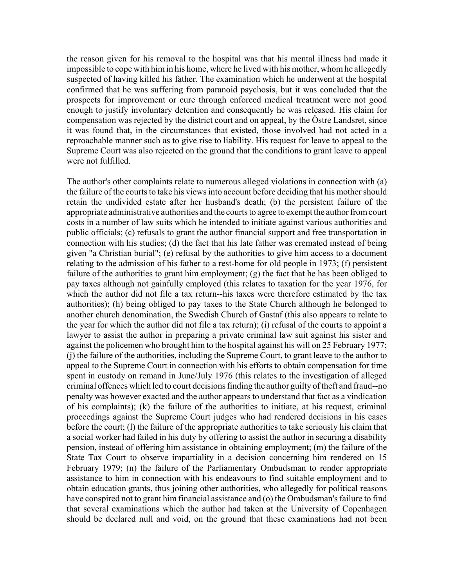the reason given for his removal to the hospital was that his mental illness had made it impossible to cope with him in his home, where he lived with his mother, whom he allegedly suspected of having killed his father. The examination which he underwent at the hospital confirmed that he was suffering from paranoid psychosis, but it was concluded that the prospects for improvement or cure through enforced medical treatment were not good enough to justify involuntary detention and consequently he was released. His claim for compensation was rejected by the district court and on appeal, by the Östre Landsret, since it was found that, in the circumstances that existed, those involved had not acted in a reproachable manner such as to give rise to liability. His request for leave to appeal to the Supreme Court was also rejected on the ground that the conditions to grant leave to appeal were not fulfilled.

The author's other complaints relate to numerous alleged violations in connection with (a) the failure of the courts to take his views into account before deciding that his mother should retain the undivided estate after her husband's death; (b) the persistent failure of the appropriate administrative authorities and the courts to agree to exempt the author from court costs in a number of law suits which he intended to initiate against various authorities and public officials; (c) refusals to grant the author financial support and free transportation in connection with his studies; (d) the fact that his late father was cremated instead of being given "a Christian burial"; (e) refusal by the authorities to give him access to a document relating to the admission of his father to a rest-home for old people in 1973; (f) persistent failure of the authorities to grant him employment; (g) the fact that he has been obliged to pay taxes although not gainfully employed (this relates to taxation for the year 1976, for which the author did not file a tax return--his taxes were therefore estimated by the tax authorities); (h) being obliged to pay taxes to the State Church although he belonged to another church denomination, the Swedish Church of Gastaf (this also appears to relate to the year for which the author did not file a tax return); (i) refusal of the courts to appoint a lawyer to assist the author in preparing a private criminal law suit against his sister and against the policemen who brought him to the hospital against his will on 25 February 1977; (j) the failure of the authorities, including the Supreme Court, to grant leave to the author to appeal to the Supreme Court in connection with his efforts to obtain compensation for time spent in custody on remand in June/July 1976 (this relates to the investigation of alleged criminal offences which led to court decisions finding the author guilty of theft and fraud--no penalty was however exacted and the author appears to understand that fact as a vindication of his complaints); (k) the failure of the authorities to initiate, at his request, criminal proceedings against the Supreme Court judges who had rendered decisions in his cases before the court; (l) the failure of the appropriate authorities to take seriously his claim that a social worker had failed in his duty by offering to assist the author in securing a disability pension, instead of offering him assistance in obtaining employment; (m) the failure of the State Tax Court to observe impartiality in a decision concerning him rendered on 15 February 1979; (n) the failure of the Parliamentary Ombudsman to render appropriate assistance to him in connection with his endeavours to find suitable employment and to obtain education grants, thus joining other authorities, who allegedly for political reasons have conspired not to grant him financial assistance and (o) the Ombudsman's failure to find that several examinations which the author had taken at the University of Copenhagen should be declared null and void, on the ground that these examinations had not been